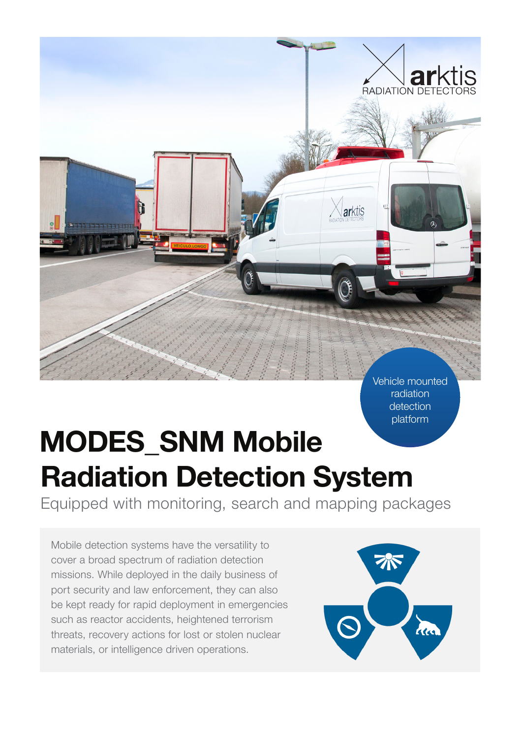

Vehicle mounted radiation detection platform

# **MODES\_SNM Mobile Radiation Detection System**

Equipped with monitoring, search and mapping packages

Mobile detection systems have the versatility to cover a broad spectrum of radiation detection missions. While deployed in the daily business of port security and law enforcement, they can also be kept ready for rapid deployment in emergencies such as reactor accidents, heightened terrorism threats, recovery actions for lost or stolen nuclear materials, or intelligence driven operations.